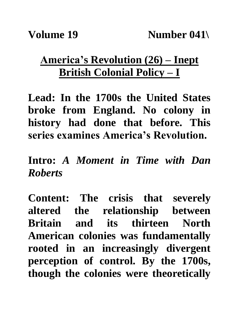## **America's Revolution (26) – Inept British Colonial Policy – I**

**Lead: In the 1700s the United States broke from England. No colony in history had done that before. This series examines America's Revolution.**

**Intro:** *A Moment in Time with Dan Roberts*

**Content: The crisis that severely altered the relationship between Britain and its thirteen North American colonies was fundamentally rooted in an increasingly divergent perception of control. By the 1700s, though the colonies were theoretically**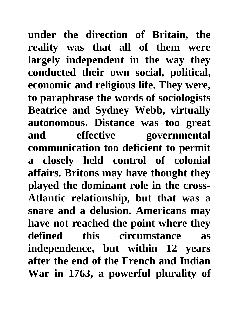**under the direction of Britain, the reality was that all of them were largely independent in the way they conducted their own social, political, economic and religious life. They were, to paraphrase the words of sociologists Beatrice and Sydney Webb, virtually autonomous. Distance was too great and effective governmental communication too deficient to permit a closely held control of colonial affairs. Britons may have thought they played the dominant role in the cross-Atlantic relationship, but that was a snare and a delusion. Americans may have not reached the point where they defined this circumstance as independence, but within 12 years after the end of the French and Indian War in 1763, a powerful plurality of**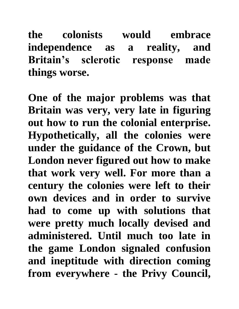**the colonists would embrace independence as a reality, and Britain's sclerotic response made things worse.**

**One of the major problems was that Britain was very, very late in figuring out how to run the colonial enterprise. Hypothetically, all the colonies were under the guidance of the Crown, but London never figured out how to make that work very well. For more than a century the colonies were left to their own devices and in order to survive had to come up with solutions that were pretty much locally devised and administered. Until much too late in the game London signaled confusion and ineptitude with direction coming from everywhere - the Privy Council,**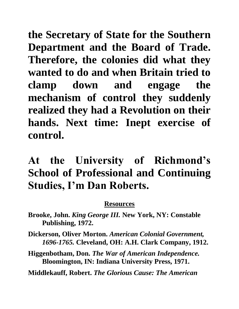**the Secretary of State for the Southern Department and the Board of Trade. Therefore, the colonies did what they wanted to do and when Britain tried to clamp down and engage the mechanism of control they suddenly realized they had a Revolution on their hands. Next time: Inept exercise of control.**

## **At the University of Richmond's School of Professional and Continuing Studies, I'm Dan Roberts.**

## **Resources**

- **Brooke, John.** *King George III.* **New York, NY: Constable Publishing, 1972.**
- **Dickerson, Oliver Morton.** *American Colonial Government, 1696-1765.* **Cleveland, OH: A.H. Clark Company, 1912.**
- **Higgenbotham, Don.** *The War of American Independence.*  **Bloomington, IN: Indiana University Press, 1971.**

**Middlekauff, Robert.** *The Glorious Cause: The American*